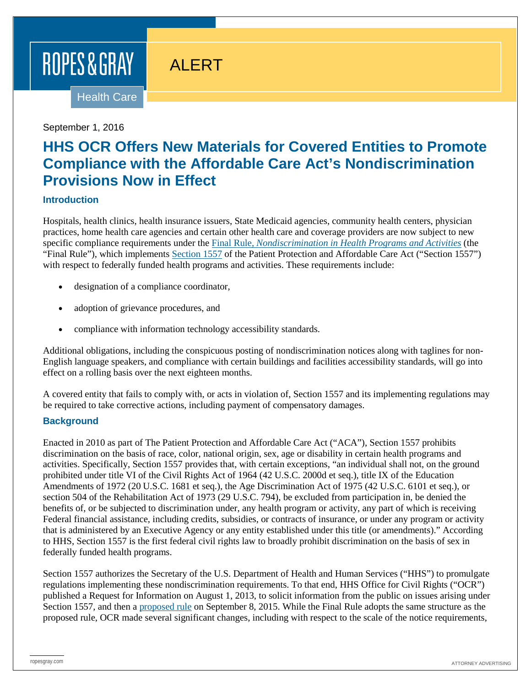# ROPES & GRAY

# ALERT

Health Care

#### September 1, 2016

# **HHS OCR Offers New Materials for Covered Entities to Promote Compliance with the Affordable Care Act's Nondiscrimination Provisions Now in Effect**

#### **Introduction**

Hospitals, health clinics, health insurance issuers, State Medicaid agencies, community health centers, physician practices, home health care agencies and certain other health care and coverage providers are now subject to new specific compliance requirements under the Final Rule, *[Nondiscrimination in Health Programs and Activities](http://www.hhs.gov/sites/default/files/2016-06-07-section-1557-final-rule-summary-508.pdf)* (the "Final Rule"), which implements [Section 1557](http://www.hhs.gov/civil-rights/for-individuals/section-1557/index.html) of the Patient Protection and Affordable Care Act ("Section 1557") with respect to federally funded health programs and activities. These requirements include:

- designation of a compliance coordinator,
- adoption of grievance procedures, and
- compliance with information technology accessibility standards.

Additional obligations, including the conspicuous posting of nondiscrimination notices along with taglines for non-English language speakers, and compliance with certain buildings and facilities accessibility standards, will go into effect on a rolling basis over the next eighteen months.

A covered entity that fails to comply with, or acts in violation of, Section 1557 and its implementing regulations may be required to take corrective actions, including payment of compensatory damages.

#### **Background**

Enacted in 2010 as part of The Patient Protection and Affordable Care Act ("ACA"), Section 1557 prohibits discrimination on the basis of race, color, national origin, sex, age or disability in certain health programs and activities. Specifically, Section 1557 provides that, with certain exceptions, "an individual shall not, on the ground prohibited under title VI of the Civil Rights Act of 1964 (42 U.S.C. 2000d et seq.), title IX of the Education Amendments of 1972 (20 U.S.C. 1681 et seq.), the Age Discrimination Act of 1975 (42 U.S.C. 6101 et seq.), or section 504 of the Rehabilitation Act of 1973 (29 U.S.C. 794), be excluded from participation in, be denied the benefits of, or be subjected to discrimination under, any health program or activity, any part of which is receiving Federal financial assistance, including credits, subsidies, or contracts of insurance, or under any program or activity that is administered by an Executive Agency or any entity established under this title (or amendments)." According to HHS, Section 1557 is the first federal civil rights law to broadly prohibit discrimination on the basis of sex in federally funded health programs.

Section 1557 authorizes the Secretary of the U.S. Department of Health and Human Services ("HHS") to promulgate regulations implementing these nondiscrimination requirements. To that end, HHS Office for Civil Rights ("OCR") published a Request for Information on August 1, 2013, to solicit information from the public on issues arising under Section 1557, and then a [proposed rule](https://www.federalregister.gov/articles/2015/09/08/2015-22043/nondiscrimination-in-health-programs-and-activities) on September 8, 2015. While the Final Rule adopts the same structure as the proposed rule, OCR made several significant changes, including with respect to the scale of the notice requirements,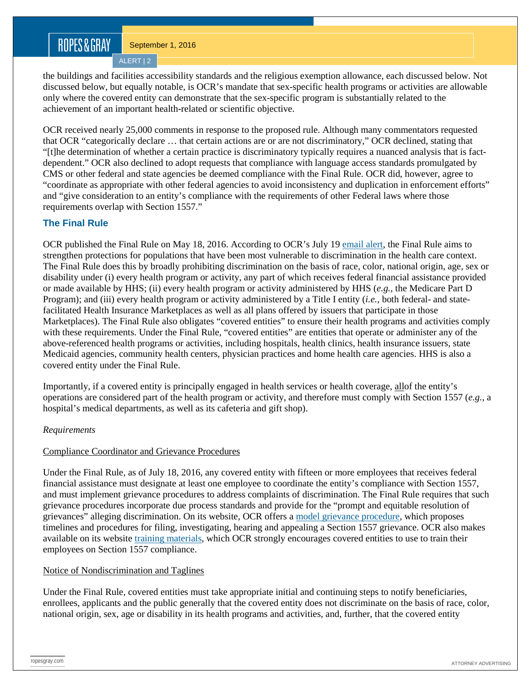# ROPES&GRAY

ALERT | 2

the buildings and facilities accessibility standards and the religious exemption allowance, each discussed below. Not discussed below, but equally notable, is OCR's mandate that sex-specific health programs or activities are allowable only where the covered entity can demonstrate that the sex-specific program is substantially related to the achievement of an important health-related or scientific objective.

OCR received nearly 25,000 comments in response to the proposed rule. Although many commentators requested that OCR "categorically declare … that certain actions are or are not discriminatory," OCR declined, stating that "[t]he determination of whether a certain practice is discriminatory typically requires a nuanced analysis that is factdependent." OCR also declined to adopt requests that compliance with language access standards promulgated by CMS or other federal and state agencies be deemed compliance with the Final Rule. OCR did, however, agree to "coordinate as appropriate with other federal agencies to avoid inconsistency and duplication in enforcement efforts" and "give consideration to an entity's compliance with the requirements of other Federal laws where those requirements overlap with Section 1557."

#### **The Final Rule**

OCR published the Final Rule on May 18, 2016. According to OCR's July 19 [email alert,](http://www.californiahia.org/news/hhs-ocr-offers-new-materials-covered-entities) the Final Rule aims to strengthen protections for populations that have been most vulnerable to discrimination in the health care context. The Final Rule does this by broadly prohibiting discrimination on the basis of race, color, national origin, age, sex or disability under (i) every health program or activity, any part of which receives federal financial assistance provided or made available by HHS; (ii) every health program or activity administered by HHS (*e.g.*, the Medicare Part D Program); and (iii) every health program or activity administered by a Title I entity (*i.e.*, both federal- and statefacilitated Health Insurance Marketplaces as well as all plans offered by issuers that participate in those Marketplaces). The Final Rule also obligates "covered entities" to ensure their health programs and activities comply with these requirements. Under the Final Rule, "covered entities" are entities that operate or administer any of the above-referenced health programs or activities, including hospitals, health clinics, health insurance issuers, state Medicaid agencies, community health centers, physician practices and home health care agencies. HHS is also a covered entity under the Final Rule.

Importantly, if a covered entity is principally engaged in health services or health coverage, allof the entity's operations are considered part of the health program or activity, and therefore must comply with Section 1557 (*e.g.*, a hospital's medical departments, as well as its cafeteria and gift shop).

#### *Requirements*

#### Compliance Coordinator and Grievance Procedures

Under the Final Rule, as of July 18, 2016, any covered entity with fifteen or more employees that receives federal financial assistance must designate at least one employee to coordinate the entity's compliance with Section 1557, and must implement grievance procedures to address complaints of discrimination. The Final Rule requires that such grievance procedures incorporate due process standards and provide for the "prompt and equitable resolution of grievances" alleging discrimination. On its website, OCR offers a [model grievance procedure,](http://www.hhs.gov/sites/default/files/section1557-sample-grievance-procedure.pdf) which proposes timelines and procedures for filing, investigating, hearing and appealing a Section 1557 grievance. OCR also makes available on its website [training materials,](http://www.hhs.gov/civil-rights/for-individuals/section-1557/trainingmaterials/index.html) which OCR strongly encourages covered entities to use to train their employees on Section 1557 compliance.

#### Notice of Nondiscrimination and Taglines

Under the Final Rule, covered entities must take appropriate initial and continuing steps to notify beneficiaries, enrollees, applicants and the public generally that the covered entity does not discriminate on the basis of race, color, national origin, sex, age or disability in its health programs and activities, and, further, that the covered entity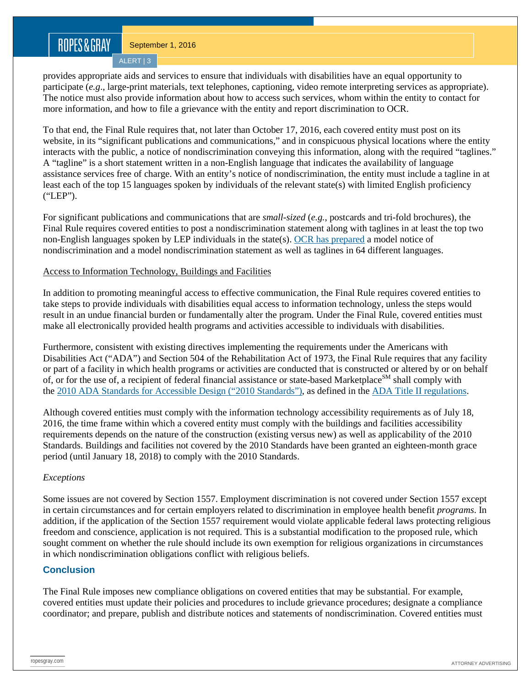### ROPES&GRAY

September 1, 2016

ALERT | 3

provides appropriate aids and services to ensure that individuals with disabilities have an equal opportunity to participate (*e.g*., large-print materials, text telephones, captioning, video remote interpreting services as appropriate). The notice must also provide information about how to access such services, whom within the entity to contact for more information, and how to file a grievance with the entity and report discrimination to OCR.

To that end, the Final Rule requires that, not later than October 17, 2016, each covered entity must post on its website, in its "significant publications and communications," and in conspicuous physical locations where the entity interacts with the public, a notice of nondiscrimination conveying this information, along with the required "taglines." A "tagline" is a short statement written in a non-English language that indicates the availability of language assistance services free of charge. With an entity's notice of nondiscrimination, the entity must include a tagline in at least each of the top 15 languages spoken by individuals of the relevant state(s) with limited English proficiency ("LEP").

For significant publications and communications that are *small-sized* (*e.g.*, postcards and tri-fold brochures), the Final Rule requires covered entities to post a nondiscrimination statement along with taglines in at least the top two non-English languages spoken by LEP individuals in the state(s). [OCR has prepared](http://www.hhs.gov/civil-rights/for-individuals/section-1557/translated-resources/) a model notice of nondiscrimination and a model nondiscrimination statement as well as taglines in 64 different languages.

#### Access to Information Technology, Buildings and Facilities

In addition to promoting meaningful access to effective communication, the Final Rule requires covered entities to take steps to provide individuals with disabilities equal access to information technology, unless the steps would result in an undue financial burden or fundamentally alter the program. Under the Final Rule, covered entities must make all electronically provided health programs and activities accessible to individuals with disabilities.

Furthermore, consistent with existing directives implementing the requirements under the Americans with Disabilities Act ("ADA") and Section 504 of the Rehabilitation Act of 1973, the Final Rule requires that any facility or part of a facility in which health programs or activities are conducted that is constructed or altered by or on behalf of, or for the use of, a recipient of federal financial assistance or state-based Marketplace<sup>SM</sup> shall comply with the [2010 ADA Standards for Accessible Design \("2010 Standards"\),](http://www.ecfr.gov/cgi-bin/text-idx?SID=1ad026a6e4f8c4ae898328a5583c0fd3&node=se28.1.35_1151&rgn=div8) as defined in the [ADA Title II regulations.](https://www.gpo.gov/fdsys/pkg/CFR-2010-title28-vol1/xml/CFR-2010-title28-vol1-sec35-104.xml)

Although covered entities must comply with the information technology accessibility requirements as of July 18, 2016, the time frame within which a covered entity must comply with the buildings and facilities accessibility requirements depends on the nature of the construction (existing versus new) as well as applicability of the 2010 Standards. Buildings and facilities not covered by the 2010 Standards have been granted an eighteen-month grace period (until January 18, 2018) to comply with the 2010 Standards.

#### *Exceptions*

Some issues are not covered by Section 1557. Employment discrimination is not covered under Section 1557 except in certain circumstances and for certain employers related to discrimination in employee health benefit *programs*. In addition, if the application of the Section 1557 requirement would violate applicable federal laws protecting religious freedom and conscience, application is not required. This is a substantial modification to the proposed rule, which sought comment on whether the rule should include its own exemption for religious organizations in circumstances in which nondiscrimination obligations conflict with religious beliefs.

#### **Conclusion**

The Final Rule imposes new compliance obligations on covered entities that may be substantial. For example, covered entities must update their policies and procedures to include grievance procedures; designate a compliance coordinator; and prepare, publish and distribute notices and statements of nondiscrimination. Covered entities must